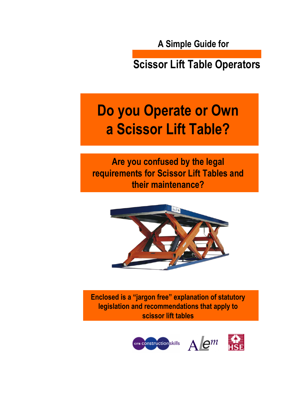**A Simple Guide for**

**Scissor Lift Table Operators**

# **Do you Operate or Own a Scissor Lift Table?**

**Are you confused by the legal requirements for Scissor Lift Tables and their maintenance?**



**Enclosed is a "jargon free" explanation of statutory legislation and recommendations that apply to scissor lift tables**

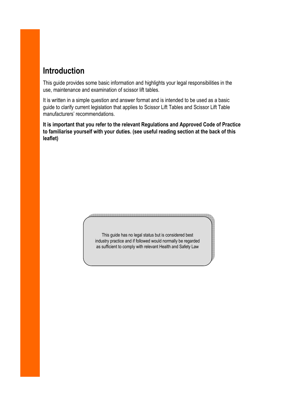#### **Introduction**

This guide provides some basic information and highlights your legal responsibilities in the use, maintenance and examination of scissor lift tables.

It is written in a simple question and answer format and is intended to be used as a basic guide to clarify current legislation that applies to Scissor Lift Tables and Scissor Lift Table manufacturers' recommendations.

**It is important that you refer to the relevant Regulations and Approved Code of Practice to familiarise yourself with your duties. (see useful reading section at the back of this leaflet)**

> This guide has no legal status but is considered best industry practice and if followed would normally be regarded as sufficient to comply with relevant Health and Safety Law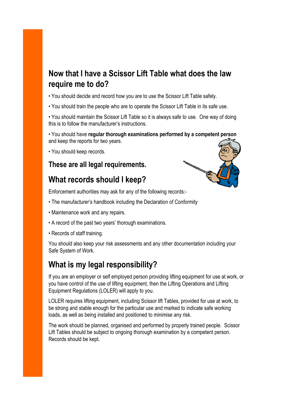#### **Now that I have a Scissor Lift Table what does the law require me to do?**

• You should decide and record how you are to use the Scissor Lift Table safely.

• You should train the people who are to operate the Scissor Lift Table in its safe use.

• You should maintain the Scissor Lift Table so it is always safe to use. One way of doing this is to follow the manufacturer's instructions.

• You should have **regular thorough examinations performed by a competent person** and keep the reports for two years.

• You should keep records.

#### **These are all legal requirements.**

#### **What records should I keep?**

Enforcement authorities may ask for any of the following records:-

- The manufacturer's handbook including the Declaration of Conformity
- Maintenance work and any repairs.
- A record of the past two years' thorough examinations.
- Records of staff training.

You should also keep your risk assessments and any other documentation including your Safe System of Work.

#### **What is my legal responsibility?**

If you are an employer or self employed person providing lifting equipment for use at work, or you have control of the use of lifting equipment, then the Lifting Operations and Lifting Equipment Regulations (LOLER) will apply to you.

LOLER requires lifting equipment, including Scissor lift Tables, provided for use at work, to be strong and stable enough for the particular use and marked to indicate safe working loads, as well as being installed and positioned to minimise any risk.

The work should be planned, organised and performed by properly trained people. Scissor Lift Tables should be subject to ongoing thorough examination by a competent person. Records should be kept.

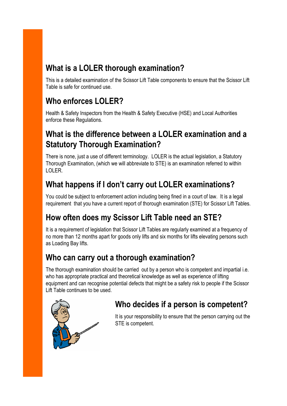### **What is a LOLER thorough examination?**

This is a detailed examination of the Scissor Lift Table components to ensure that the Scissor Lift Table is safe for continued use.

# **Who enforces LOLER?**

Health & Safety Inspectors from the Health & Safety Executive (HSE) and Local Authorities enforce these Regulations.

#### **What is the difference between a LOLER examination and a Statutory Thorough Examination?**

There is none, just a use of different terminology. LOLER is the actual legislation, a Statutory Thorough Examination, (which we will abbreviate to STE) is an examination referred to within LOLER.

## **What happens if I don't carry out LOLER examinations?**

You could be subject to enforcement action including being fined in a court of law. It is a legal requirement that you have a current report of thorough examination (STE) for Scissor Lift Tables.

### **How often does my Scissor Lift Table need an STE?**

It is a requirement of legislation that Scissor Lift Tables are regularly examined at a frequency of no more than 12 months apart for goods only lifts and six months for lifts elevating persons such as Loading Bay lifts.

#### **Who can carry out a thorough examination?**

The thorough examination should be carried out by a person who is competent and impartial i.e. who has appropriate practical and theoretical knowledge as well as experience of lifting equipment and can recognise potential defects that might be a safety risk to people if the Scissor Lift Table continues to be used.



#### **Who decides if a person is competent?**

It is your responsibility to ensure that the person carrying out the STE is competent.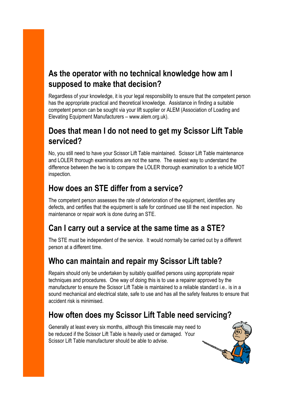#### **As the operator with no technical knowledge how am I supposed to make that decision?**

Regardless of your knowledge, it is your legal responsibility to ensure that the competent person has the appropriate practical and theoretical knowledge. Assistance in finding a suitable competent person can be sought via your lift supplier or ALEM (Association of Loading and Elevating Equipment Manufacturers – www.alem.org.uk).

#### **Does that mean I do not need to get my Scissor Lift Table serviced?**

No, you still need to have your Scissor Lift Table maintained. Scissor Lift Table maintenance and LOLER thorough examinations are not the same. The easiest way to understand the difference between the two is to compare the LOLER thorough examination to a vehicle MOT inspection.

#### **How does an STE differ from a service?**

The competent person assesses the rate of deterioration of the equipment, identifies any defects, and certifies that the equipment is safe for continued use till the next inspection. No maintenance or repair work is done during an STE.

#### **Can I carry out a service at the same time as a STE?**

The STE must be independent of the service. It would normally be carried out by a different person at a different time.

#### **Who can maintain and repair my Scissor Lift table?**

Repairs should only be undertaken by suitably qualified persons using appropriate repair techniques and procedures. One way of doing this is to use a repairer approved by the manufacturer to ensure the Scissor Lift Table is maintained to a reliable standard i.e.. is in a sound mechanical and electrical state, safe to use and has all the safety features to ensure that accident risk is minimised.

#### **How often does my Scissor Lift Table need servicing?**

Generally at least every six months, although this timescale may need to be reduced if the Scissor Lift Table is heavily used or damaged. Your Scissor Lift Table manufacturer should be able to advise.

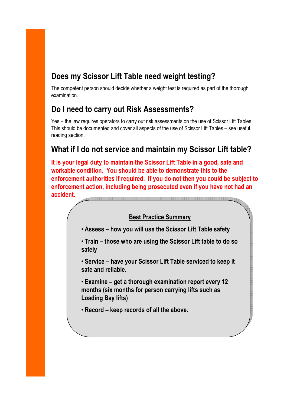### **Does my Scissor Lift Table need weight testing?**

The competent person should decide whether a weight test is required as part of the thorough examination.

#### **Do I need to carry out Risk Assessments?**

Yes – the law requires operators to carry out risk assessments on the use of Scissor Lift Tables. This should be documented and cover all aspects of the use of Scissor Lift Tables – see useful reading section.

#### **What if I do not service and maintain my Scissor Lift table?**

**It is your legal duty to maintain the Scissor Lift Table in a good, safe and workable condition. You should be able to demonstrate this to the enforcement authorities if required. If you do not then you could be subject to enforcement action, including being prosecuted even if you have not had an accident.**

#### **Best Practice Summary**

- **Assess how you will use the Scissor Lift Table safety**
- **Train those who are using the Scissor Lift table to do so safely**
- **Service have your Scissor Lift Table serviced to keep it safe and reliable.**
- **Examine get a thorough examination report every 12 months (six months for person carrying lifts such as Loading Bay lifts)**
- **Record keep records of all the above.**